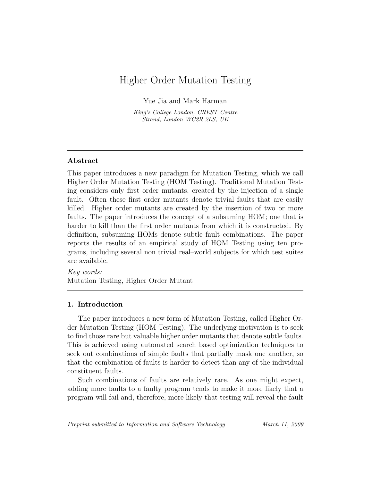# Higher Order Mutation Testing

Yue Jia and Mark Harman

King's College London, CREST Centre Strand, London WC2R 2LS, UK

# Abstract

This paper introduces a new paradigm for Mutation Testing, which we call Higher Order Mutation Testing (HOM Testing). Traditional Mutation Testing considers only first order mutants, created by the injection of a single fault. Often these first order mutants denote trivial faults that are easily killed. Higher order mutants are created by the insertion of two or more faults. The paper introduces the concept of a subsuming HOM; one that is harder to kill than the first order mutants from which it is constructed. By definition, subsuming HOMs denote subtle fault combinations. The paper reports the results of an empirical study of HOM Testing using ten programs, including several non trivial real–world subjects for which test suites are available.

Key words: Mutation Testing, Higher Order Mutant

# 1. Introduction

The paper introduces a new form of Mutation Testing, called Higher Order Mutation Testing (HOM Testing). The underlying motivation is to seek to find those rare but valuable higher order mutants that denote subtle faults. This is achieved using automated search based optimization techniques to seek out combinations of simple faults that partially mask one another, so that the combination of faults is harder to detect than any of the individual constituent faults.

Such combinations of faults are relatively rare. As one might expect, adding more faults to a faulty program tends to make it more likely that a program will fail and, therefore, more likely that testing will reveal the fault

Preprint submitted to Information and Software Technology March 11, 2009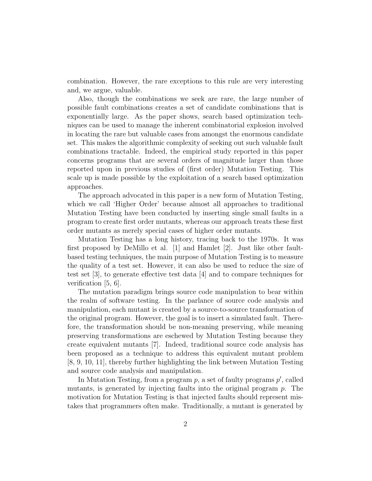combination. However, the rare exceptions to this rule are very interesting and, we argue, valuable.

Also, though the combinations we seek are rare, the large number of possible fault combinations creates a set of candidate combinations that is exponentially large. As the paper shows, search based optimization techniques can be used to manage the inherent combinatorial explosion involved in locating the rare but valuable cases from amongst the enormous candidate set. This makes the algorithmic complexity of seeking out such valuable fault combinations tractable. Indeed, the empirical study reported in this paper concerns programs that are several orders of magnitude larger than those reported upon in previous studies of (first order) Mutation Testing. This scale up is made possible by the exploitation of a search based optimization approaches.

The approach advocated in this paper is a new form of Mutation Testing, which we call 'Higher Order' because almost all approaches to traditional Mutation Testing have been conducted by inserting single small faults in a program to create first order mutants, whereas our approach treats these first order mutants as merely special cases of higher order mutants.

Mutation Testing has a long history, tracing back to the 1970s. It was first proposed by DeMillo et al. [1] and Hamlet [2]. Just like other faultbased testing techniques, the main purpose of Mutation Testing is to measure the quality of a test set. However, it can also be used to reduce the size of test set [3], to generate effective test data [4] and to compare techniques for verification [5, 6].

The mutation paradigm brings source code manipulation to bear within the realm of software testing. In the parlance of source code analysis and manipulation, each mutant is created by a source-to-source transformation of the original program. However, the goal is to insert a simulated fault. Therefore, the transformation should be non-meaning preserving, while meaning preserving transformations are eschewed by Mutation Testing because they create equivalent mutants [7]. Indeed, traditional source code analysis has been proposed as a technique to address this equivalent mutant problem [8, 9, 10, 11], thereby further highlighting the link between Mutation Testing and source code analysis and manipulation.

In Mutation Testing, from a program  $p$ , a set of faulty programs  $p'$ , called mutants, is generated by injecting faults into the original program  $p$ . The motivation for Mutation Testing is that injected faults should represent mistakes that programmers often make. Traditionally, a mutant is generated by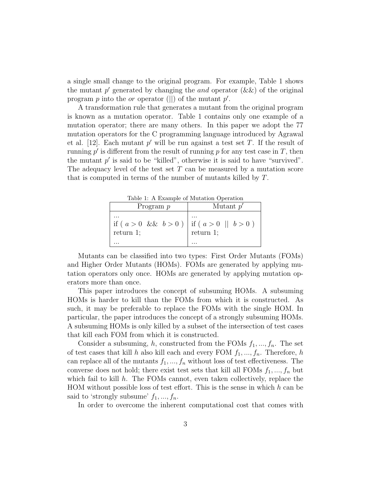a single small change to the original program. For example, Table 1 shows the mutant  $p'$  generated by changing the and operator (&&) of the original program p into the or operator (||) of the mutant  $p'$ .

A transformation rule that generates a mutant from the original program is known as a mutation operator. Table 1 contains only one example of a mutation operator; there are many others. In this paper we adopt the 77 mutation operators for the C programming language introduced by Agrawal et al. [12]. Each mutant  $p'$  will be run against a test set T. If the result of running  $p'$  is different from the result of running  $p$  for any test case in  $T$ , then the mutant  $p'$  is said to be "killed", otherwise it is said to have "survived". The adequacy level of the test set  $T$  can be measured by a mutation score that is computed in terms of the number of mutants killed by T.

| Lable 1. A Example of Mutation Operation                              |             |  |  |
|-----------------------------------------------------------------------|-------------|--|--|
| Program $p$                                                           | Mutant $p'$ |  |  |
| if ( $a > 0$ && $b > 0$ )   if ( $a > 0$    $b > 0$ )<br>return $1$ ; | return 1;   |  |  |
|                                                                       |             |  |  |

Table 1: A Example of Mutation Operation

Mutants can be classified into two types: First Order Mutants (FOMs) and Higher Order Mutants (HOMs). FOMs are generated by applying mutation operators only once. HOMs are generated by applying mutation operators more than once.

This paper introduces the concept of subsuming HOMs. A subsuming HOMs is harder to kill than the FOMs from which it is constructed. As such, it may be preferable to replace the FOMs with the single HOM. In particular, the paper introduces the concept of a strongly subsuming HOMs. A subsuming HOMs is only killed by a subset of the intersection of test cases that kill each FOM from which it is constructed.

Consider a subsuming, h, constructed from the FOMs  $f_1, ..., f_n$ . The set of test cases that kill h also kill each and every FOM  $f_1, ..., f_n$ . Therefore, h can replace all of the mutants  $f_1, ..., f_n$  without loss of test effectiveness. The converse does not hold; there exist test sets that kill all FOMs  $f_1, ..., f_n$  but which fail to kill  $h$ . The FOMs cannot, even taken collectively, replace the HOM without possible loss of test effort. This is the sense in which  $h$  can be said to 'strongly subsume'  $f_1, ..., f_n$ .

In order to overcome the inherent computational cost that comes with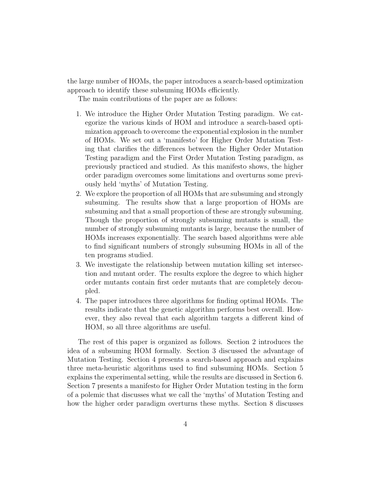the large number of HOMs, the paper introduces a search-based optimization approach to identify these subsuming HOMs efficiently.

The main contributions of the paper are as follows:

- 1. We introduce the Higher Order Mutation Testing paradigm. We categorize the various kinds of HOM and introduce a search-based optimization approach to overcome the exponential explosion in the number of HOMs. We set out a 'manifesto' for Higher Order Mutation Testing that clarifies the differences between the Higher Order Mutation Testing paradigm and the First Order Mutation Testing paradigm, as previously practiced and studied. As this manifesto shows, the higher order paradigm overcomes some limitations and overturns some previously held 'myths' of Mutation Testing.
- 2. We explore the proportion of all HOMs that are subsuming and strongly subsuming. The results show that a large proportion of HOMs are subsuming and that a small proportion of these are strongly subsuming. Though the proportion of strongly subsuming mutants is small, the number of strongly subsuming mutants is large, because the number of HOMs increases exponentially. The search based algorithms were able to find significant numbers of strongly subsuming HOMs in all of the ten programs studied.
- 3. We investigate the relationship between mutation killing set intersection and mutant order. The results explore the degree to which higher order mutants contain first order mutants that are completely decoupled.
- 4. The paper introduces three algorithms for finding optimal HOMs. The results indicate that the genetic algorithm performs best overall. However, they also reveal that each algorithm targets a different kind of HOM, so all three algorithms are useful.

The rest of this paper is organized as follows. Section 2 introduces the idea of a subsuming HOM formally. Section 3 discussed the advantage of Mutation Testing. Section 4 presents a search-based approach and explains three meta-heuristic algorithms used to find subsuming HOMs. Section 5 explains the experimental setting, while the results are discussed in Section 6. Section 7 presents a manifesto for Higher Order Mutation testing in the form of a polemic that discusses what we call the 'myths' of Mutation Testing and how the higher order paradigm overturns these myths. Section 8 discusses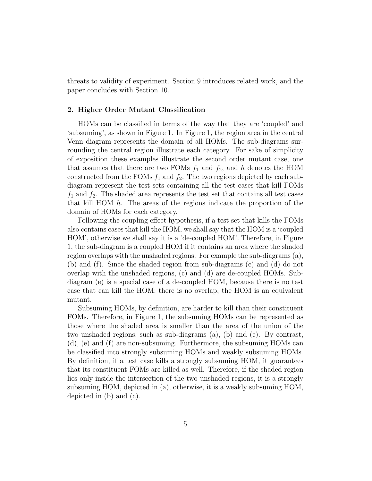threats to validity of experiment. Section 9 introduces related work, and the paper concludes with Section 10.

# 2. Higher Order Mutant Classification

HOMs can be classified in terms of the way that they are 'coupled' and 'subsuming', as shown in Figure 1. In Figure 1, the region area in the central Venn diagram represents the domain of all HOMs. The sub-diagrams surrounding the central region illustrate each category. For sake of simplicity of exposition these examples illustrate the second order mutant case; one that assumes that there are two FOMs  $f_1$  and  $f_2$ , and h denotes the HOM constructed from the FOMs  $f_1$  and  $f_2$ . The two regions depicted by each subdiagram represent the test sets containing all the test cases that kill FOMs  $f_1$  and  $f_2$ . The shaded area represents the test set that contains all test cases that kill HOM  $h$ . The areas of the regions indicate the proportion of the domain of HOMs for each category.

Following the coupling effect hypothesis, if a test set that kills the FOMs also contains cases that kill the HOM, we shall say that the HOM is a 'coupled HOM', otherwise we shall say it is a 'de-coupled HOM'. Therefore, in Figure 1, the sub-diagram is a coupled HOM if it contains an area where the shaded region overlaps with the unshaded regions. For example the sub-diagrams (a), (b) and (f). Since the shaded region from sub-diagrams (c) and (d) do not overlap with the unshaded regions, (c) and (d) are de-coupled HOMs. Subdiagram (e) is a special case of a de-coupled HOM, because there is no test case that can kill the HOM; there is no overlap, the HOM is an equivalent mutant.

Subsuming HOMs, by definition, are harder to kill than their constituent FOMs. Therefore, in Figure 1, the subsuming HOMs can be represented as those where the shaded area is smaller than the area of the union of the two unshaded regions, such as sub-diagrams (a), (b) and (c). By contrast, (d), (e) and (f) are non-subsuming. Furthermore, the subsuming HOMs can be classified into strongly subsuming HOMs and weakly subsuming HOMs. By definition, if a test case kills a strongly subsuming HOM, it guarantees that its constituent FOMs are killed as well. Therefore, if the shaded region lies only inside the intersection of the two unshaded regions, it is a strongly subsuming HOM, depicted in (a), otherwise, it is a weakly subsuming HOM, depicted in (b) and (c).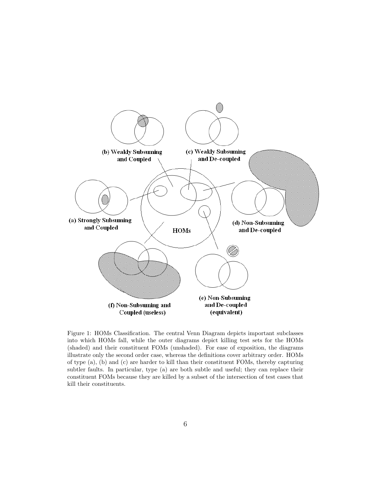

Figure 1: HOMs Classification. The central Venn Diagram depicts important subclasses into which HOMs fall, while the outer diagrams depict killing test sets for the HOMs (shaded) and their constituent FOMs (unshaded). For ease of exposition, the diagrams illustrate only the second order case, whereas the definitions cover arbitrary order. HOMs of type (a), (b) and (c) are harder to kill than their constituent FOMs, thereby capturing subtler faults. In particular, type (a) are both subtle and useful; they can replace their constituent FOMs because they are killed by a subset of the intersection of test cases that kill their constituents.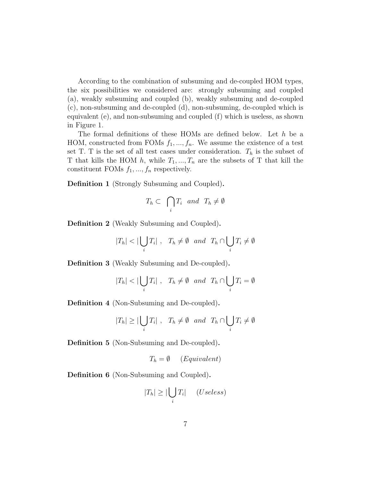According to the combination of subsuming and de-coupled HOM types, the six possibilities we considered are: strongly subsuming and coupled (a), weakly subsuming and coupled (b), weakly subsuming and de-coupled (c), non-subsuming and de-coupled (d), non-subsuming, de-coupled which is equivalent (e), and non-subsuming and coupled (f) which is useless, as shown in Figure 1.

The formal definitions of these HOMs are defined below. Let h be a HOM, constructed from FOMs  $f_1, ..., f_n$ . We assume the existence of a test set T. T is the set of all test cases under consideration.  $T_h$  is the subset of T that kills the HOM h, while  $T_1, ..., T_n$  are the subsets of T that kill the constituent FOMs  $f_1, ..., f_n$  respectively.

Definition 1 (Strongly Subsuming and Coupled).

$$
T_h \subset \bigcap_i T_i \quad and \quad T_h \neq \emptyset
$$

Definition 2 (Weakly Subsuming and Coupled).

$$
|T_h| < |\bigcup_i T_i| \ , \quad T_h \neq \emptyset \quad and \quad T_h \cap \bigcup_i T_i \neq \emptyset
$$

Definition 3 (Weakly Subsuming and De-coupled).

$$
|T_h| < |\bigcup_i T_i| \ , \quad T_h \neq \emptyset \quad and \quad T_h \cap \bigcup_i T_i = \emptyset
$$

Definition 4 (Non-Subsuming and De-coupled).

$$
|T_h| \geq |\bigcup_i T_i| \ , \quad T_h \neq \emptyset \quad and \quad T_h \cap \bigcup_i T_i \neq \emptyset
$$

Definition 5 (Non-Subsuming and De-coupled).

$$
T_h = \emptyset \qquad (Equivalent)
$$

Definition 6 (Non-Subsuming and Coupled).

$$
|T_h| \ge |\bigcup_i T_i| \quad (Useless)
$$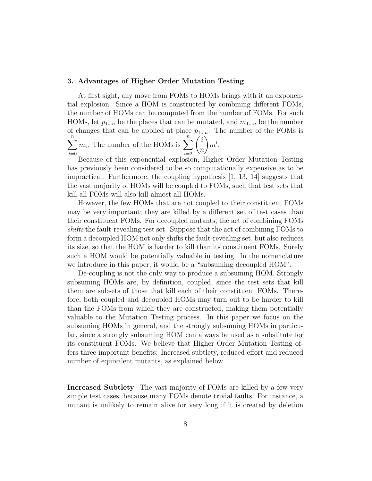#### 3. Advantages of Higher Order Mutation Testing

At first sight, any move from FOMs to HOMs brings with it an exponential explosion. Since a HOM is constructed by combining different FOMs, the number of HOMs can be computed from the number of FOMs. For such HOMs, let  $p_{1...n}$  be the places that can be mutated, and  $m_{1...n}$  be the number of changes that can be applied at place  $p_{1...n}$ . The number of the FOMs is  $\sum_{n=1}^{\infty}$  $i=0$  $m_i$ . The number of the HOMs is  $\sum_{n=1}^n$  $i=2$  $\int i$ n  $\Big)_{m^i.}$ 

Because of this exponential explosion, Higher Order Mutation Testing has previously been considered to be so computationally expensive as to be impractical. Furthermore, the coupling hypothesis [1, 13, 14] suggests that the vast majority of HOMs will be coupled to FOMs, such that test sets that kill all FOMs will also kill almost all HOMs.

However, the few HOMs that are not coupled to their constituent FOMs may be very important; they are killed by a different set of test cases than their constituent FOMs. For decoupled mutants, the act of combining FOMs shifts the fault-revealing test set. Suppose that the act of combining FOMs to form a decoupled HOM not only shifts the fault-revealing set, but also reduces its size, so that the HOM is harder to kill than its constituent FOMs. Surely such a HOM would be potentially valuable in testing. In the nomenclature we introduce in this paper, it would be a "subsuming decoupled HOM".

De-coupling is not the only way to produce a subsuming HOM. Strongly subsuming HOMs are, by definition, coupled, since the test sets that kill them are subsets of those that kill each of their constituent FOMs. Therefore, both coupled and decoupled HOMs may turn out to be harder to kill than the FOMs from which they are constructed, making them potentially valuable to the Mutation Testing process. In this paper we focus on the subsuming HOMs in general, and the strongly subsuming HOMs in particular, since a strongly subsuming HOM can always be used as a substitute for its constituent FOMs. We believe that Higher Order Mutation Testing offers three important benefits: Increased subtlety, reduced effort and reduced number of equivalent mutants, as explained below.

Increased Subtlety: The vast majority of FOMs are killed by a few very simple test cases, because many FOMs denote trivial faults. For instance, a mutant is unlikely to remain alive for very long if it is created by deletion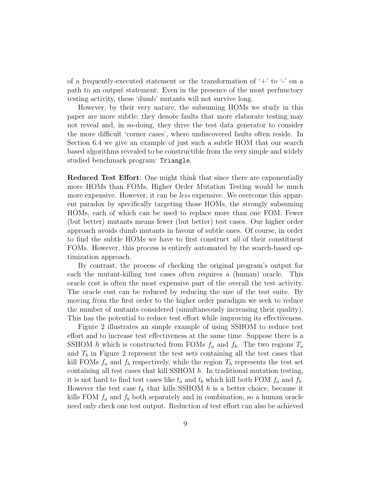of a frequently-executed statement or the transformation of  $'$ + to  $'$  on a path to an output statement. Even in the presence of the most perfunctory testing activity, these 'dumb' mutants will not survive long.

However, by their very nature, the subsuming HOMs we study in this paper are more subtle; they denote faults that more elaborate testing may not reveal and, in so-doing, they drive the test data generator to consider the more difficult 'corner cases', where undiscovered faults often reside. In Section 6.4 we give an example of just such a subtle HOM that our search based algorithms revealed to be constructible from the very simple and widely studied benchmark program: Triangle.

Reduced Test Effort: One might think that since there are exponentially more HOMs than FOMs, Higher Order Mutation Testing would be much more expensive. However, it can be *less* expensive. We overcome this apparent paradox by specifically targeting those HOMs, the strongly subsuming HOMs, each of which can be used to replace more than one FOM. Fewer (but better) mutants means fewer (but better) test cases. Our higher order approach avoids dumb mutants in favour of subtle ones. Of course, in order to find the subtle HOMs we have to first construct all of their constituent FOMs. However, this process is entirely automated by the search-based optimization approach.

By contrast, the process of checking the original program's output for each the mutant-killing test cases often requires a (human) oracle. This oracle cost is often the most expensive part of the overall the test activity. The oracle cost can be reduced by reducing the size of the test suite. By moving from the first order to the higher order paradigm we seek to reduce the number of mutants considered (simultaneously increasing their quality). This has the potential to reduce test effort while improving its effectiveness.

Figure 2 illustrates an simple example of using SSHOM to reduce test effort and to increase test effectiveness at the same time. Suppose there is a SSHOM h which is constructed from FOMs  $f_a$  and  $f_b$ . The two regions  $T_a$ and  $T<sub>b</sub>$  in Figure 2 represent the test sets containing all the test cases that kill FOMs  $f_a$  and  $f_b$  respectively, while the region  $T_h$  represents the test set containing all test cases that kill SSHOM  $h$ . In traditional mutation testing, it is not hard to find test cases like  $t_a$  and  $t_b$  which kill both FOM  $f_a$  and  $f_b$ . However the test case  $t<sub>h</sub>$  that kills SSHOM h is a better choice, because it kills FOM  $f_a$  and  $f_b$  both separately and in combination, so a human oracle need only check one test output. Reduction of test effort can also be achieved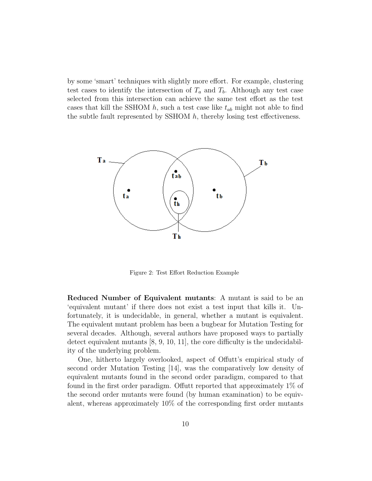by some 'smart' techniques with slightly more effort. For example, clustering test cases to identify the intersection of  $T_a$  and  $T_b$ . Although any test case selected from this intersection can achieve the same test effort as the test cases that kill the SSHOM h, such a test case like  $t_{ab}$  might not able to find the subtle fault represented by SSHOM  $h$ , thereby losing test effectiveness.



Figure 2: Test Effort Reduction Example

Reduced Number of Equivalent mutants: A mutant is said to be an 'equivalent mutant' if there does not exist a test input that kills it. Unfortunately, it is undecidable, in general, whether a mutant is equivalent. The equivalent mutant problem has been a bugbear for Mutation Testing for several decades. Although, several authors have proposed ways to partially detect equivalent mutants [8, 9, 10, 11], the core difficulty is the undecidability of the underlying problem.

One, hitherto largely overlooked, aspect of Offutt's empirical study of second order Mutation Testing [14], was the comparatively low density of equivalent mutants found in the second order paradigm, compared to that found in the first order paradigm. Offutt reported that approximately 1% of the second order mutants were found (by human examination) to be equivalent, whereas approximately 10% of the corresponding first order mutants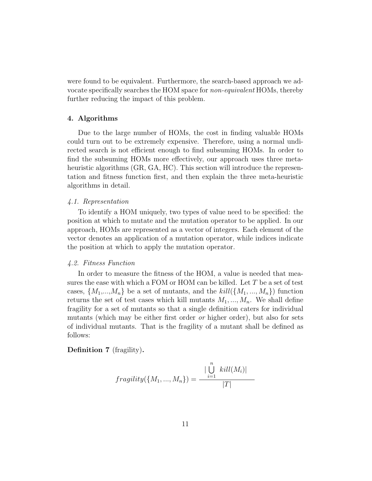were found to be equivalent. Furthermore, the search-based approach we advocate specifically searches the HOM space for non-equivalent HOMs, thereby further reducing the impact of this problem.

# 4. Algorithms

Due to the large number of HOMs, the cost in finding valuable HOMs could turn out to be extremely expensive. Therefore, using a normal undirected search is not efficient enough to find subsuming HOMs. In order to find the subsuming HOMs more effectively, our approach uses three metaheuristic algorithms (GR, GA, HC). This section will introduce the representation and fitness function first, and then explain the three meta-heuristic algorithms in detail.

## 4.1. Representation

To identify a HOM uniquely, two types of value need to be specified: the position at which to mutate and the mutation operator to be applied. In our approach, HOMs are represented as a vector of integers. Each element of the vector denotes an application of a mutation operator, while indices indicate the position at which to apply the mutation operator.

#### 4.2. Fitness Function

In order to measure the fitness of the HOM, a value is needed that measures the ease with which a FOM or HOM can be killed. Let  $T$  be a set of test cases,  $\{M_1,...,M_n\}$  be a set of mutants, and the  $kill(\{M_1,...,M_n\})$  function returns the set of test cases which kill mutants  $M_1, ..., M_n$ . We shall define fragility for a set of mutants so that a single definition caters for individual mutants (which may be either first order or higher order), but also for sets of individual mutants. That is the fragility of a mutant shall be defined as follows:

Definition 7 (fragility).

$$
fragility(\lbrace M_1, ..., M_n \rbrace) = \frac{\mid \bigcup_{i=1}^{n} \quad kill(M_i) \mid}{|T|}
$$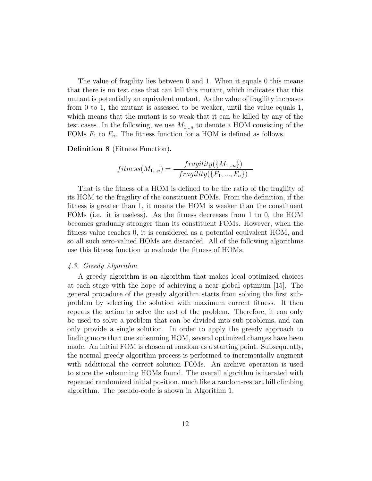The value of fragility lies between 0 and 1. When it equals 0 this means that there is no test case that can kill this mutant, which indicates that this mutant is potentially an equivalent mutant. As the value of fragility increases from 0 to 1, the mutant is assessed to be weaker, until the value equals 1, which means that the mutant is so weak that it can be killed by any of the test cases. In the following, we use  $M_{1...n}$  to denote a HOM consisting of the FOMs  $F_1$  to  $F_n$ . The fitness function for a HOM is defined as follows.

Definition 8 (Fitness Function).

$$
fitness(M_{1...n}) = \frac{fragility(\{M_{1...n}\})}{fragility(\{F_1,...,F_n\})}
$$

That is the fitness of a HOM is defined to be the ratio of the fragility of its HOM to the fragility of the constituent FOMs. From the definition, if the fitness is greater than 1, it means the HOM is weaker than the constituent FOMs (i.e. it is useless). As the fitness decreases from 1 to 0, the HOM becomes gradually stronger than its constituent FOMs. However, when the fitness value reaches 0, it is considered as a potential equivalent HOM, and so all such zero-valued HOMs are discarded. All of the following algorithms use this fitness function to evaluate the fitness of HOMs.

# 4.3. Greedy Algorithm

A greedy algorithm is an algorithm that makes local optimized choices at each stage with the hope of achieving a near global optimum [15]. The general procedure of the greedy algorithm starts from solving the first subproblem by selecting the solution with maximum current fitness. It then repeats the action to solve the rest of the problem. Therefore, it can only be used to solve a problem that can be divided into sub-problems, and can only provide a single solution. In order to apply the greedy approach to finding more than one subsuming HOM, several optimized changes have been made. An initial FOM is chosen at random as a starting point. Subsequently, the normal greedy algorithm process is performed to incrementally augment with additional the correct solution FOMs. An archive operation is used to store the subsuming HOMs found. The overall algorithm is iterated with repeated randomized initial position, much like a random-restart hill climbing algorithm. The pseudo-code is shown in Algorithm 1.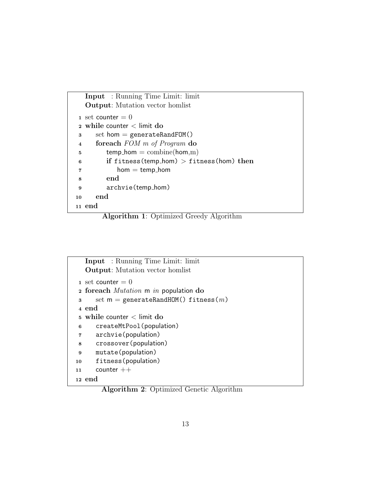```
Input : Running Time Limit: limit
  Output: Mutation vector homlist
1 set counter = 02 while counter < limit do
3 set hom = generateRandFOM()
4 foreach FOM m of Program do
5 temp_hom = \text{combine}(\text{hom}, \text{m})6 if fitness(temp_hom) > fitness(hom) then
7 hom = temp<sub>-</sub>hom
8 end
9 archvie(temp hom)
10 end
11 end
```


|    | <b>Input</b> : Running Time Limit: limit         |
|----|--------------------------------------------------|
|    | <b>Output:</b> Mutation vector homlist           |
|    | 1 set counter $= 0$                              |
|    | 2 foreach $\textit{Mutation}$ m in population do |
| 3  | set $m =$ generateRandHOM() fitness( $m$ )       |
|    | 4 end                                            |
|    | $5$ while counter $<$ limit do                   |
| 6  | createMtPool(population)                         |
| 7  | archvie(population)                              |
| 8  | crossover(population)                            |
| 9  | mutate(population)                               |
| 10 | fitness(population)                              |
| 11 | counter $++$                                     |
|    | 12 end                                           |

Algorithm 2: Optimized Genetic Algorithm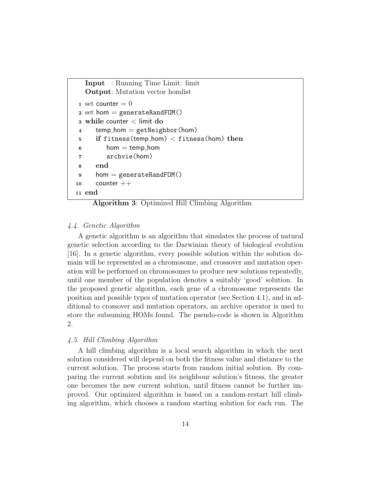```
Input : Running Time Limit: limit
  Output: Mutation vector homlist
1 set counter = 02 set hom = generateRandFOM()
3 while counter < limit do
4 temp_hom = getNeighbor(hom)
5 if fitness(temp_hom) < fitness(hom) then
6 \qquad \qquad \text{hom} = \text{temp\_hom}7 archvie(hom)
8 end
9 hom = generateRandFOM()
10 counter ++11 end
```
Algorithm 3: Optimized Hill Climbing Algorithm

# 4.4. Genetic Algorithm

A genetic algorithm is an algorithm that simulates the process of natural genetic selection according to the Darwinian theory of biological evolution [16]. In a genetic algorithm, every possible solution within the solution domain will be represented as a chromosome, and crossover and mutation operation will be performed on chromosomes to produce new solutions repeatedly, until one member of the population denotes a suitably 'good' solution. In the proposed genetic algorithm, each gene of a chromosome represents the position and possible types of mutation operator (see Section 4.1), and in additional to crossover and mutation operators, an archive operator is used to store the subsuming HOMs found. The pseudo-code is shown in Algorithm 2.

# 4.5. Hill Climbing Algorithm

A hill climbing algorithm is a local search algorithm in which the next solution considered will depend on both the fitness value and distance to the current solution. The process starts from random initial solution. By comparing the current solution and its neighbour solution's fitness, the greater one becomes the new current solution, until fitness cannot be further improved. Our optimized algorithm is based on a random-restart hill climbing algorithm, which chooses a random starting solution for each run. The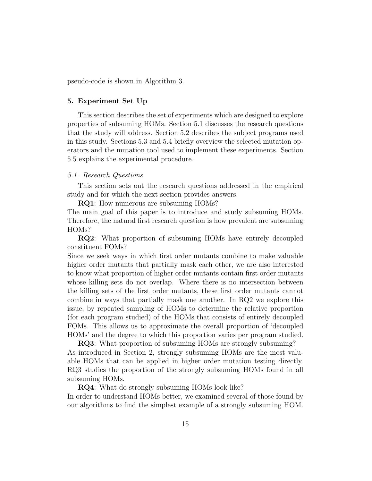pseudo-code is shown in Algorithm 3.

# 5. Experiment Set Up

This section describes the set of experiments which are designed to explore properties of subsuming HOMs. Section 5.1 discusses the research questions that the study will address. Section 5.2 describes the subject programs used in this study. Sections 5.3 and 5.4 briefly overview the selected mutation operators and the mutation tool used to implement these experiments. Section 5.5 explains the experimental procedure.

# 5.1. Research Questions

This section sets out the research questions addressed in the empirical study and for which the next section provides answers.

RQ1: How numerous are subsuming HOMs?

The main goal of this paper is to introduce and study subsuming HOMs. Therefore, the natural first research question is how prevalent are subsuming HOMs?

RQ2: What proportion of subsuming HOMs have entirely decoupled constituent FOMs?

Since we seek ways in which first order mutants combine to make valuable higher order mutants that partially mask each other, we are also interested to know what proportion of higher order mutants contain first order mutants whose killing sets do not overlap. Where there is no intersection between the killing sets of the first order mutants, these first order mutants cannot combine in ways that partially mask one another. In RQ2 we explore this issue, by repeated sampling of HOMs to determine the relative proportion (for each program studied) of the HOMs that consists of entirely decoupled FOMs. This allows us to approximate the overall proportion of 'decoupled HOMs' and the degree to which this proportion varies per program studied.

RQ3: What proportion of subsuming HOMs are strongly subsuming? As introduced in Section 2, strongly subsuming HOMs are the most valuable HOMs that can be applied in higher order mutation testing directly. RQ3 studies the proportion of the strongly subsuming HOMs found in all subsuming HOMs.

RQ4: What do strongly subsuming HOMs look like?

In order to understand HOMs better, we examined several of those found by our algorithms to find the simplest example of a strongly subsuming HOM.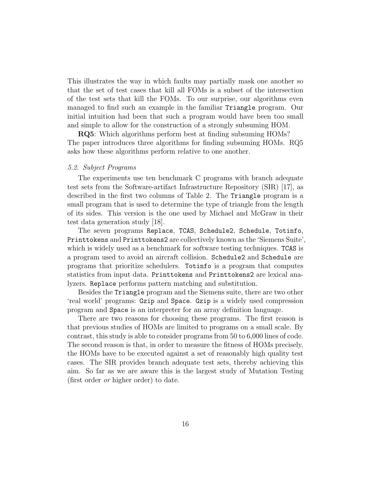This illustrates the way in which faults may partially mask one another so that the set of test cases that kill all FOMs is a subset of the intersection of the test sets that kill the FOMs. To our surprise, our algorithms even managed to find such an example in the familiar Triangle program. Our initial intuition had been that such a program would have been too small and simple to allow for the construction of a strongly subsuming HOM.

RQ5: Which algorithms perform best at finding subsuming HOMs? The paper introduces three algorithms for finding subsuming HOMs. RQ5 asks how these algorithms perform relative to one another.

#### 5.2. Subject Programs

The experiments use ten benchmark C programs with branch adequate test sets from the Software-artifact Infrastructure Repository (SIR) [17], as described in the first two columns of Table 2. The Triangle program is a small program that is used to determine the type of triangle from the length of its sides. This version is the one used by Michael and McGraw in their test data generation study [18].

The seven programs Replace, TCAS, Schedule2, Schedule, Totinfo, Printtokens and Printtokens2 are collectively known as the 'Siemens Suite', which is widely used as a benchmark for software testing techniques. TCAS is a program used to avoid an aircraft collision. Schedule2 and Schedule are programs that prioritize schedulers. Totinfo is a program that computes statistics from input data. Printtokens and Printtokens2 are lexical analyzers. Replace performs pattern matching and substitution.

Besides the Triangle program and the Siemens suite, there are two other 'real world' programs: Gzip and Space. Gzip is a widely used compression program and Space is an interpreter for an array definition language.

There are two reasons for choosing these programs. The first reason is that previous studies of HOMs are limited to programs on a small scale. By contrast, this study is able to consider programs from 50 to 6,000 lines of code. The second reason is that, in order to measure the fitness of HOMs precisely, the HOMs have to be executed against a set of reasonably high quality test cases. The SIR provides branch adequate test sets, thereby achieving this aim. So far as we are aware this is the largest study of Mutation Testing (first order or higher order) to date.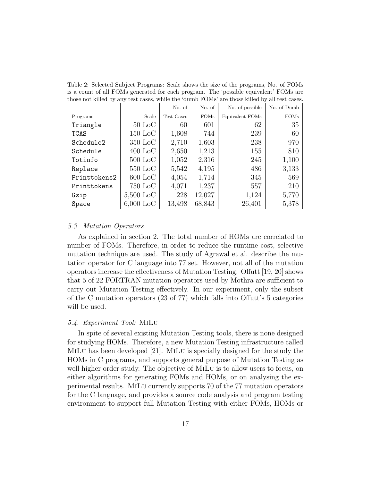|              | $\cdot$     | No. of     | No. of      | No. of possible | No. of Dumb |
|--------------|-------------|------------|-------------|-----------------|-------------|
| Programs     | Scale       | Test Cases | <b>FOMs</b> | Equivalent FOMs | <b>FOMs</b> |
| Triangle     | $50$ LoC    | 60         | 601         | 62              | 35          |
| <b>TCAS</b>  | $150$ LoC   | 1,608      | 744         | 239             | 60          |
| Schedule2    | $350$ LoC   | 2,710      | 1,603       | 238             | 970         |
| Schedule     | $400$ LoC   | 2,650      | 1,213       | 155             | 810         |
| Totinfo      | $500$ LoC   | 1,052      | 2,316       | 245             | 1,100       |
| Replace      | $550$ LoC   | 5,542      | 4,195       | 486             | 3,133       |
| Printtokens2 | $600$ LoC   | 4,054      | 1,714       | 345             | 569         |
| Printtokens  | $750$ LoC   | 4,071      | 1,237       | 557             | 210         |
| Gzip         | $5,500$ LoC | 228        | 12,027      | 1,124           | 5,770       |
| Space        | $6,000$ LoC | 13,498     | 68,843      | 26,401          | 5,378       |

Table 2: Selected Subject Programs: Scale shows the size of the programs, No. of FOMs is a count of all FOMs generated for each program. The 'possible equivalent' FOMs are those not killed by any test cases, while the 'dumb FOMs' are those killed by all test cases.

## 5.3. Mutation Operators

As explained in section 2. The total number of HOMs are correlated to number of FOMs. Therefore, in order to reduce the runtime cost, selective mutation technique are used. The study of Agrawal et al. describe the mutation operator for C language into 77 set. However, not all of the mutation operators increase the effectiveness of Mutation Testing. Offutt [19, 20] shows that 5 of 22 FORTRAN mutation operators used by Mothra are sufficient to carry out Mutation Testing effectively. In our experiment, only the subset of the C mutation operators (23 of 77) which falls into Offutt's 5 categories will be used.

#### 5.4. Experiment Tool: MiLu

In spite of several existing Mutation Testing tools, there is none designed for studying HOMs. Therefore, a new Mutation Testing infrastructure called MiLu has been developed [21]. MiLu is specially designed for the study the HOMs in C programs, and supports general purpose of Mutation Testing as well higher order study. The objective of MiLu is to allow users to focus, on either algorithms for generating FOMs and HOMs, or on analysing the experimental results. MiLu currently supports 70 of the 77 mutation operators for the C language, and provides a source code analysis and program testing environment to support full Mutation Testing with either FOMs, HOMs or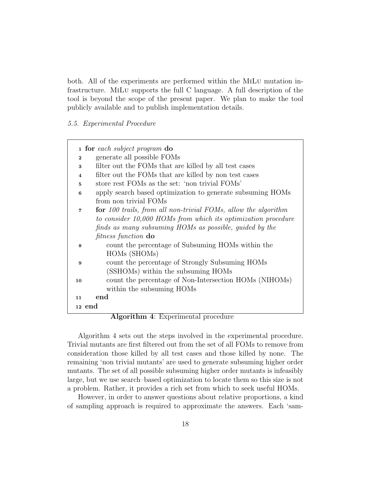both. All of the experiments are performed within the MiLu mutation infrastructure. MiLu supports the full C language. A full description of the tool is beyond the scope of the present paper. We plan to make the tool publicly available and to publish implementation details.

5.5. Experimental Procedure

| <b>1 for</b> each subject program <b>do</b> |                                                                |  |  |  |
|---------------------------------------------|----------------------------------------------------------------|--|--|--|
| $\bf{2}$                                    | generate all possible FOMs                                     |  |  |  |
| 3                                           | filter out the FOMs that are killed by all test cases          |  |  |  |
| $\overline{\mathbf{4}}$                     | filter out the FOMs that are killed by non test cases          |  |  |  |
| 5                                           | store rest FOMs as the set: 'non trivial FOMs'                 |  |  |  |
| 6                                           | apply search based optimization to generate subsuming HOMs     |  |  |  |
|                                             | from non trivial FOMs                                          |  |  |  |
| 7                                           | for 100 trails, from all non-trivial FOMs, allow the algorithm |  |  |  |
|                                             | to consider 10,000 HOMs from which its optimization procedure  |  |  |  |
|                                             | finds as many subsuming HOMs as possible, guided by the        |  |  |  |
|                                             | <i>fitness function</i> do                                     |  |  |  |
| 8                                           | count the percentage of Subsuming HOMs within the              |  |  |  |
|                                             | HOMs (SHOMs)                                                   |  |  |  |
| 9                                           | count the percentage of Strongly Subsuming HOMs                |  |  |  |
|                                             | (SSHOMs) within the subsuming HOMs                             |  |  |  |
| 10                                          | count the percentage of Non-Intersection HOMs (NIHOMs)         |  |  |  |
|                                             | within the subsuming HOMs                                      |  |  |  |
| 11                                          | end                                                            |  |  |  |
| 12 end                                      |                                                                |  |  |  |
|                                             | $\blacksquare$<br>2.1.<br>$\sim$ 1.1<br>$\mathbf{I}$<br>A 1    |  |  |  |

Algorithm 4: Experimental procedure

Algorithm 4 sets out the steps involved in the experimental procedure. Trivial mutants are first filtered out from the set of all FOMs to remove from consideration those killed by all test cases and those killed by none. The remaining 'non trivial mutants' are used to generate subsuming higher order mutants. The set of all possible subsuming higher order mutants is infeasibly large, but we use search–based optimization to locate them so this size is not a problem. Rather, it provides a rich set from which to seek useful HOMs.

However, in order to answer questions about relative proportions, a kind of sampling approach is required to approximate the answers. Each 'sam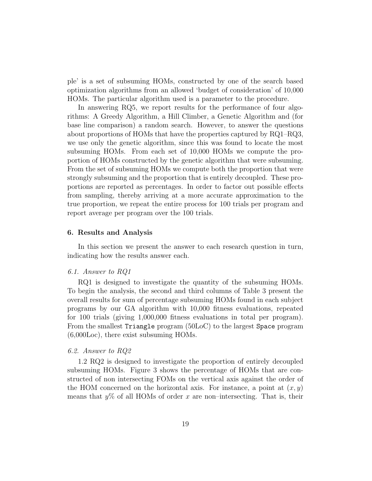ple' is a set of subsuming HOMs, constructed by one of the search based optimization algorithms from an allowed 'budget of consideration' of 10,000 HOMs. The particular algorithm used is a parameter to the procedure.

In answering RQ5, we report results for the performance of four algorithms: A Greedy Algorithm, a Hill Climber, a Genetic Algorithm and (for base line comparison) a random search. However, to answer the questions about proportions of HOMs that have the properties captured by RQ1–RQ3, we use only the genetic algorithm, since this was found to locate the most subsuming HOMs. From each set of 10,000 HOMs we compute the proportion of HOMs constructed by the genetic algorithm that were subsuming. From the set of subsuming HOMs we compute both the proportion that were strongly subsuming and the proportion that is entirely decoupled. These proportions are reported as percentages. In order to factor out possible effects from sampling, thereby arriving at a more accurate approximation to the true proportion, we repeat the entire process for 100 trials per program and report average per program over the 100 trials.

## 6. Results and Analysis

In this section we present the answer to each research question in turn, indicating how the results answer each.

# 6.1. Answer to RQ1

RQ1 is designed to investigate the quantity of the subsuming HOMs. To begin the analysis, the second and third columns of Table 3 present the overall results for sum of percentage subsuming HOMs found in each subject programs by our GA algorithm with 10,000 fitness evaluations, repeated for 100 trials (giving 1,000,000 fitness evaluations in total per program). From the smallest Triangle program (50LoC) to the largest Space program (6,000Loc), there exist subsuming HOMs.

# 6.2. Answer to RQ2

1.2 RQ2 is designed to investigate the proportion of entirely decoupled subsuming HOMs. Figure 3 shows the percentage of HOMs that are constructed of non intersecting FOMs on the vertical axis against the order of the HOM concerned on the horizontal axis. For instance, a point at  $(x, y)$ means that  $y\%$  of all HOMs of order x are non–intersecting. That is, their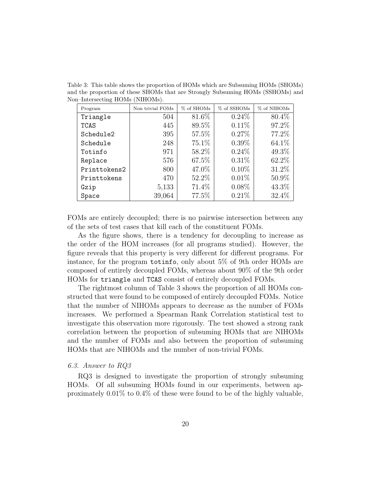Table 3: This table shows the proportion of HOMs which are Subsuming HOMs (SHOMs) and the proportion of these SHOMs that are Strongly Subsuming HOMs (SSHOMs) and Non–Intersecting HOMs (NIHOMs).

| Program      | Non trivial FOMs | % of SHOMs | % of SSHOMs | % of NIHOMs |
|--------------|------------------|------------|-------------|-------------|
| Triangle     | 504              | 81.6%      | $0.24\%$    | 80.4%       |
| <b>TCAS</b>  | 445              | 89.5%      | 0.11%       | 97.2%       |
| Schedule2    | 395              | 57.5%      | 0.27%       | 77.2%       |
| Schedule     | 248              | 75.1\%     | $0.39\%$    | 64.1%       |
| Totinfo      | 971              | 58.2%      | $0.24\%$    | 49.3%       |
| Replace      | 576              | 67.5%      | 0.31%       | 62.2%       |
| Printtokens2 | 800              | 47.0%      | $0.10\%$    | 31.2%       |
| Printtokens  | 470              | 52.2%      | 0.01%       | 50.9%       |
| Gzip         | 5,133            | 71.4%      | $0.08\%$    | 43.3%       |
| Space        | 39,064           | 77.5%      | 0.21%       | 32.4%       |

FOMs are entirely decoupled; there is no pairwise intersection between any of the sets of test cases that kill each of the constituent FOMs.

As the figure shows, there is a tendency for decoupling to increase as the order of the HOM increases (for all programs studied). However, the figure reveals that this property is very different for different programs. For instance, for the program totinfo, only about 5% of 9th order HOMs are composed of entirely decoupled FOMs, whereas about 90% of the 9th order HOMs for triangle and TCAS consist of entirely decoupled FOMs.

The rightmost column of Table 3 shows the proportion of all HOMs constructed that were found to be composed of entirely decoupled FOMs. Notice that the number of NIHOMs appears to decrease as the number of FOMs increases. We performed a Spearman Rank Correlation statistical test to investigate this observation more rigorously. The test showed a strong rank correlation between the proportion of subsuming HOMs that are NIHOMs and the number of FOMs and also between the proportion of subsuming HOMs that are NIHOMs and the number of non-trivial FOMs.

#### 6.3. Answer to RQ3

RQ3 is designed to investigate the proportion of strongly subsuming HOMs. Of all subsuming HOMs found in our experiments, between approximately 0.01% to 0.4% of these were found to be of the highly valuable,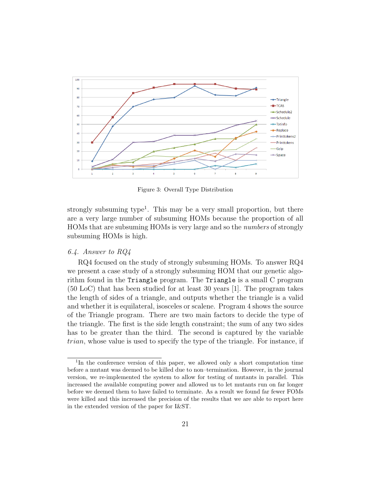

Figure 3: Overall Type Distribution

strongly subsuming type<sup>1</sup>. This may be a very small proportion, but there are a very large number of subsuming HOMs because the proportion of all HOMs that are subsuming HOMs is very large and so the numbers of strongly subsuming HOMs is high.

# 6.4. Answer to RQ4

RQ4 focused on the study of strongly subsuming HOMs. To answer RQ4 we present a case study of a strongly subsuming HOM that our genetic algorithm found in the Triangle program. The Triangle is a small C program (50 LoC) that has been studied for at least 30 years [1]. The program takes the length of sides of a triangle, and outputs whether the triangle is a valid and whether it is equilateral, isosceles or scalene. Program 4 shows the source of the Triangle program. There are two main factors to decide the type of the triangle. The first is the side length constraint; the sum of any two sides has to be greater than the third. The second is captured by the variable trian, whose value is used to specify the type of the triangle. For instance, if

<sup>&</sup>lt;sup>1</sup>In the conference version of this paper, we allowed only a short computation time before a mutant was deemed to be killed due to non–termination. However, in the journal version, we re-implemented the system to allow for testing of mutants in parallel. This increased the available computing power and allowed us to let mutants run on far longer before we deemed them to have failed to terminate. As a result we found far fewer FOMs were killed and this increased the precision of the results that we are able to report here in the extended version of the paper for I&ST.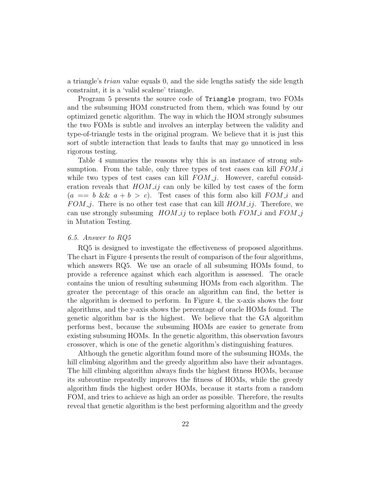a triangle's trian value equals 0, and the side lengths satisfy the side length constraint, it is a 'valid scalene' triangle.

Program 5 presents the source code of Triangle program, two FOMs and the subsuming HOM constructed from them, which was found by our optimized genetic algorithm. The way in which the HOM strongly subsumes the two FOMs is subtle and involves an interplay between the validity and type-of-triangle tests in the original program. We believe that it is just this sort of subtle interaction that leads to faults that may go unnoticed in less rigorous testing.

Table 4 summaries the reasons why this is an instance of strong subsumption. From the table, only three types of test cases can kill  $FOM_i$ while two types of test cases can kill  $FOM<sub>-1</sub>$ . However, careful consideration reveals that  $HOM_{ij}$  can only be killed by test cases of the form  $(a = b \&\& a + b > c)$ . Test cases of this form also kill  $FOM_i$  and  $FOM_{-1}$ . There is no other test case that can kill  $HOM_{-1}$ . Therefore, we can use strongly subsuming  $HOM_{i}j$  to replace both  $FOM_{i}i$  and  $FOM_{i}j$ in Mutation Testing.

# 6.5. Answer to RQ5

RQ5 is designed to investigate the effectiveness of proposed algorithms. The chart in Figure 4 presents the result of comparison of the four algorithms, which answers RQ5. We use an oracle of all subsuming HOMs found, to provide a reference against which each algorithm is assessed. The oracle contains the union of resulting subsuming HOMs from each algorithm. The greater the percentage of this oracle an algorithm can find, the better is the algorithm is deemed to perform. In Figure 4, the x-axis shows the four algorithms, and the y-axis shows the percentage of oracle HOMs found. The genetic algorithm bar is the highest. We believe that the GA algorithm performs best, because the subsuming HOMs are easier to generate from existing subsuming HOMs. In the genetic algorithm, this observation favours crossover, which is one of the genetic algorithm's distinguishing features.

Although the genetic algorithm found more of the subsuming HOMs, the hill climbing algorithm and the greedy algorithm also have their advantages. The hill climbing algorithm always finds the highest fitness HOMs, because its subroutine repeatedly improves the fitness of HOMs, while the greedy algorithm finds the highest order HOMs, because it starts from a random FOM, and tries to achieve as high an order as possible. Therefore, the results reveal that genetic algorithm is the best performing algorithm and the greedy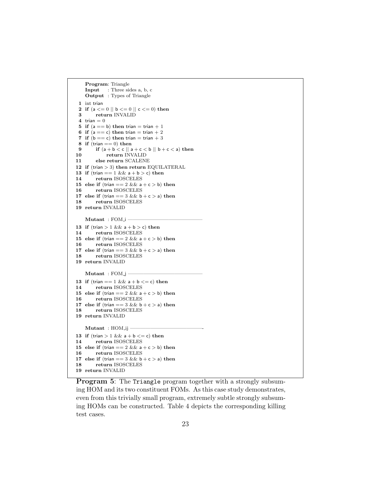```
Program: Triangle
   Input : Three sides a, b, c
   Output : Types of Triangle
 1 int trian
 2 if (a \leq 0 \mid b \leq 0 \mid c \leq 0) then
 3 return INVALID
 4 trian = 05 if (a == b) then trian = trian + 1
 6 if (a == c) then trian = trian + 2
 7 if (b == c) then trian = trian + 3
 8 if (trian == 0) then
 9 if (a + b < c || a + c < b || b + c < a) then
10 return INVALID
11 else return SCALENE
12 if (trian > 3) then return EQUILATERAL
13 if (trian == 1 && a + b > c) then
14 return ISOSCELES
15 else if (trian == 2 \&\& a + c > b) then
16 return ISOSCELES
17 else if (trian == 3 && b + c > a) then
18 return ISOSCELES
19 return INVALID
   Mutant : FOM.i -
13 if (trian > 1 && a + b > c) then
14 return ISOSCELES
15 else if (trian == 2 \&\& a + c > b) then
16 return ISOSCELES
17 else if (trian == 3 && b + c > a) then
18 return ISOSCELES
19 return INVALID
   Mutant : FOM<sub>-j</sub> -13 if (trian == 1 && a + b <= c) then
14 return ISOSCELES
15 else if (trian == 2 && a + c > b) then
16 return ISOSCELES
17 else if (trian == 3 && b + c > a) then
18 return ISOSCELES
19 return INVALID
   Mutant : HOM ij -
13 if (trian > 1 && a + b <= c) then
14 return ISOSCELES
15 else if (trian == 2 \&\& a + c > b) then
16 return ISOSCELES
17 else if (trian = = 3 && b + c > a) then
18 return ISOSCELES
19 return INVALID
```
Program 5: The Triangle program together with a strongly subsuming HOM and its two constituent FOMs. As this case study demonstrates, even from this trivially small program, extremely subtle strongly subsuming HOMs can be constructed. Table 4 depicts the corresponding killing test cases.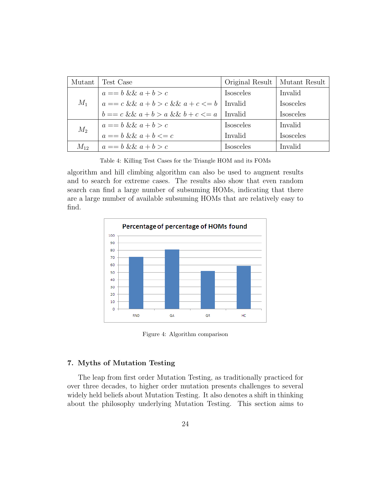| Mutant   | Test Case                                 | Original Result  | Mutant Result |
|----------|-------------------------------------------|------------------|---------------|
| $M_1$    | $a == b \&\& a + b > c$                   | Isosceles        | Invalid       |
|          | $a == c \&\& a + b > c \&\& a + c < = b$  | Invalid          | Isosceles     |
|          | $b == c \&\& a + b > a \&\& b + c \leq a$ | Invalid          | Isosceles     |
| $M_2$    | $a == b \&\& a + b > c$                   | Isosceles        | Invalid       |
|          | $a == b \&\& a + b <= c$                  | Invalid          | Isosceles     |
| $M_{12}$ | $a == b \&\& a + b > c$                   | <b>Isosceles</b> | Invalid       |

Table 4: Killing Test Cases for the Triangle HOM and its FOMs

algorithm and hill climbing algorithm can also be used to augment results and to search for extreme cases. The results also show that even random search can find a large number of subsuming HOMs, indicating that there are a large number of available subsuming HOMs that are relatively easy to find.



Figure 4: Algorithm comparison

## 7. Myths of Mutation Testing

The leap from first order Mutation Testing, as traditionally practiced for over three decades, to higher order mutation presents challenges to several widely held beliefs about Mutation Testing. It also denotes a shift in thinking about the philosophy underlying Mutation Testing. This section aims to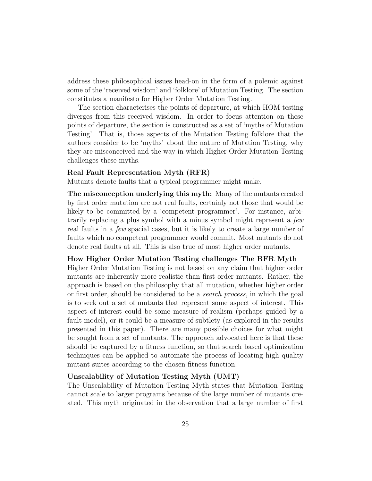address these philosophical issues head-on in the form of a polemic against some of the 'received wisdom' and 'folklore' of Mutation Testing. The section constitutes a manifesto for Higher Order Mutation Testing.

The section characterises the points of departure, at which HOM testing diverges from this received wisdom. In order to focus attention on these points of departure, the section is constructed as a set of 'myths of Mutation Testing'. That is, those aspects of the Mutation Testing folklore that the authors consider to be 'myths' about the nature of Mutation Testing, why they are misconceived and the way in which Higher Order Mutation Testing challenges these myths.

# Real Fault Representation Myth (RFR)

Mutants denote faults that a typical programmer might make.

The misconception underlying this myth: Many of the mutants created by first order mutation are not real faults, certainly not those that would be likely to be committed by a 'competent programmer'. For instance, arbitrarily replacing a plus symbol with a minus symbol might represent a few real faults in a few spacial cases, but it is likely to create a large number of faults which no competent programmer would commit. Most mutants do not denote real faults at all. This is also true of most higher order mutants.

# How Higher Order Mutation Testing challenges The RFR Myth

Higher Order Mutation Testing is not based on any claim that higher order mutants are inherently more realistic than first order mutants. Rather, the approach is based on the philosophy that all mutation, whether higher order or first order, should be considered to be a search process, in which the goal is to seek out a set of mutants that represent some aspect of interest. This aspect of interest could be some measure of realism (perhaps guided by a fault model), or it could be a measure of subtlety (as explored in the results presented in this paper). There are many possible choices for what might be sought from a set of mutants. The approach advocated here is that these should be captured by a fitness function, so that search based optimization techniques can be applied to automate the process of locating high quality mutant suites according to the chosen fitness function.

# Unscalability of Mutation Testing Myth (UMT)

The Unscalability of Mutation Testing Myth states that Mutation Testing cannot scale to larger programs because of the large number of mutants created. This myth originated in the observation that a large number of first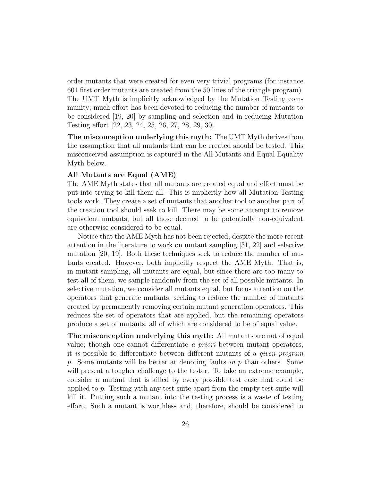order mutants that were created for even very trivial programs (for instance 601 first order mutants are created from the 50 lines of the triangle program). The UMT Myth is implicitly acknowledged by the Mutation Testing community; much effort has been devoted to reducing the number of mutants to be considered [19, 20] by sampling and selection and in reducing Mutation Testing effort [22, 23, 24, 25, 26, 27, 28, 29, 30].

The misconception underlying this myth: The UMT Myth derives from the assumption that all mutants that can be created should be tested. This misconceived assumption is captured in the All Mutants and Equal Equality Myth below.

# All Mutants are Equal (AME)

The AME Myth states that all mutants are created equal and effort must be put into trying to kill them all. This is implicitly how all Mutation Testing tools work. They create a set of mutants that another tool or another part of the creation tool should seek to kill. There may be some attempt to remove equivalent mutants, but all those deemed to be potentially non-equivalent are otherwise considered to be equal.

Notice that the AME Myth has not been rejected, despite the more recent attention in the literature to work on mutant sampling [31, 22] and selective mutation [20, 19]. Both these techniques seek to reduce the number of mutants created. However, both implicitly respect the AME Myth. That is, in mutant sampling, all mutants are equal, but since there are too many to test all of them, we sample randomly from the set of all possible mutants. In selective mutation, we consider all mutants equal, but focus attention on the operators that generate mutants, seeking to reduce the number of mutants created by permanently removing certain mutant generation operators. This reduces the set of operators that are applied, but the remaining operators produce a set of mutants, all of which are considered to be of equal value.

The misconception underlying this myth: All mutants are not of equal value; though one cannot differentiate a priori between mutant operators, it is possible to differentiate between different mutants of a given program p. Some mutants will be better at denoting faults in  $p$  than others. Some will present a tougher challenge to the tester. To take an extreme example, consider a mutant that is killed by every possible test case that could be applied to p. Testing with any test suite apart from the empty test suite will kill it. Putting such a mutant into the testing process is a waste of testing effort. Such a mutant is worthless and, therefore, should be considered to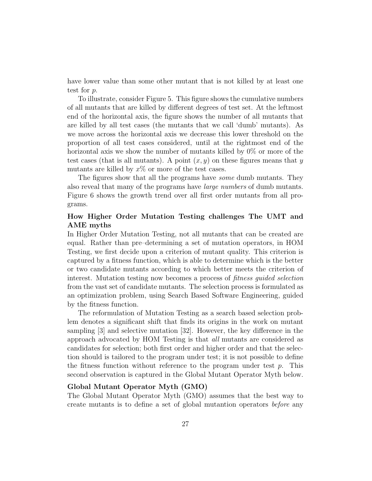have lower value than some other mutant that is not killed by at least one test for p.

To illustrate, consider Figure 5. This figure shows the cumulative numbers of all mutants that are killed by different degrees of test set. At the leftmost end of the horizontal axis, the figure shows the number of all mutants that are killed by all test cases (the mutants that we call 'dumb' mutants). As we move across the horizontal axis we decrease this lower threshold on the proportion of all test cases considered, until at the rightmost end of the horizontal axis we show the number of mutants killed by  $0\%$  or more of the test cases (that is all mutants). A point  $(x, y)$  on these figures means that y mutants are killed by  $x\%$  or more of the test cases.

The figures show that all the programs have *some* dumb mutants. They also reveal that many of the programs have large numbers of dumb mutants. Figure 6 shows the growth trend over all first order mutants from all programs.

# How Higher Order Mutation Testing challenges The UMT and AME myths

In Higher Order Mutation Testing, not all mutants that can be created are equal. Rather than pre–determining a set of mutation operators, in HOM Testing, we first decide upon a criterion of mutant quality. This criterion is captured by a fitness function, which is able to determine which is the better or two candidate mutants according to which better meets the criterion of interest. Mutation testing now becomes a process of fitness guided selection from the vast set of candidate mutants. The selection process is formulated as an optimization problem, using Search Based Software Engineering, guided by the fitness function.

The reformulation of Mutation Testing as a search based selection problem denotes a significant shift that finds its origins in the work on mutant sampling [3] and selective mutation [32]. However, the key difference in the approach advocated by HOM Testing is that all mutants are considered as candidates for selection; both first order and higher order and that the selection should is tailored to the program under test; it is not possible to define the fitness function without reference to the program under test  $p$ . This second observation is captured in the Global Mutant Operator Myth below.

# Global Mutant Operator Myth (GMO)

The Global Mutant Operator Myth (GMO) assumes that the best way to create mutants is to define a set of global mutantion operators before any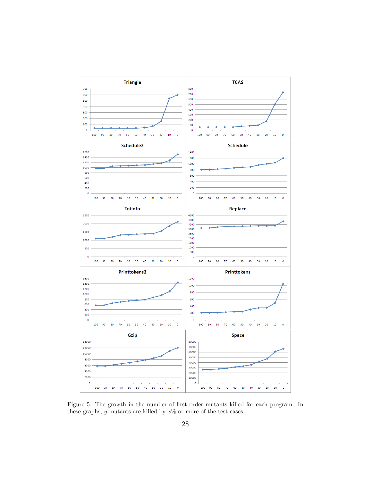

Figure 5: The growth in the number of first order mutants killed for each program. In these graphs,  $y$  mutants are killed by  $x\%$  or more of the test cases.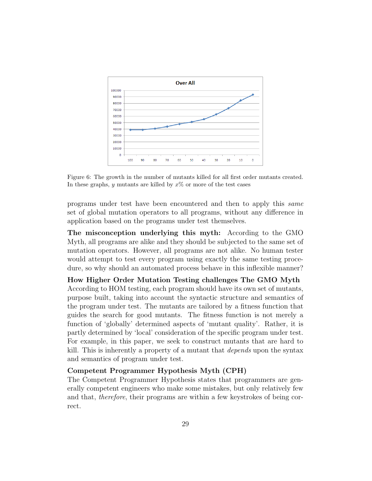

Figure 6: The growth in the number of mutants killed for all first order mutants created. In these graphs, y mutants are killed by  $x\%$  or more of the test cases

programs under test have been encountered and then to apply this same set of global mutation operators to all programs, without any difference in application based on the programs under test themselves.

The misconception underlying this myth: According to the GMO Myth, all programs are alike and they should be subjected to the same set of mutation operators. However, all programs are not alike. No human tester would attempt to test every program using exactly the same testing procedure, so why should an automated process behave in this inflexible manner?

How Higher Order Mutation Testing challenges The GMO Myth According to HOM testing, each program should have its own set of mutants, purpose built, taking into account the syntactic structure and semantics of the program under test. The mutants are tailored by a fitness function that guides the search for good mutants. The fitness function is not merely a function of 'globally' determined aspects of 'mutant quality'. Rather, it is partly determined by 'local' consideration of the specific program under test. For example, in this paper, we seek to construct mutants that are hard to kill. This is inherently a property of a mutant that depends upon the syntax and semantics of program under test.

# Competent Programmer Hypothesis Myth (CPH)

The Competent Programmer Hypothesis states that programmers are generally competent engineers who make some mistakes, but only relatively few and that, therefore, their programs are within a few keystrokes of being correct.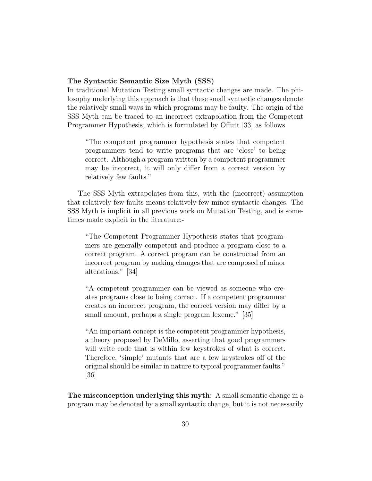# The Syntactic Semantic Size Myth (SSS)

In traditional Mutation Testing small syntactic changes are made. The philosophy underlying this approach is that these small syntactic changes denote the relatively small ways in which programs may be faulty. The origin of the SSS Myth can be traced to an incorrect extrapolation from the Competent Programmer Hypothesis, which is formulated by Offutt [33] as follows

"The competent programmer hypothesis states that competent programmers tend to write programs that are 'close' to being correct. Although a program written by a competent programmer may be incorrect, it will only differ from a correct version by relatively few faults."

The SSS Myth extrapolates from this, with the (incorrect) assumption that relatively few faults means relatively few minor syntactic changes. The SSS Myth is implicit in all previous work on Mutation Testing, and is sometimes made explicit in the literature:-

"The Competent Programmer Hypothesis states that programmers are generally competent and produce a program close to a correct program. A correct program can be constructed from an incorrect program by making changes that are composed of minor alterations." [34]

"A competent programmer can be viewed as someone who creates programs close to being correct. If a competent programmer creates an incorrect program, the correct version may differ by a small amount, perhaps a single program lexeme." [35]

"An important concept is the competent programmer hypothesis, a theory proposed by DeMillo, asserting that good programmers will write code that is within few keystrokes of what is correct. Therefore, 'simple' mutants that are a few keystrokes off of the original should be similar in nature to typical programmer faults." [36]

The misconception underlying this myth: A small semantic change in a program may be denoted by a small syntactic change, but it is not necessarily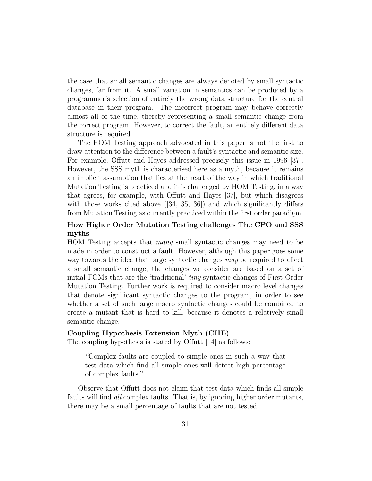the case that small semantic changes are always denoted by small syntactic changes, far from it. A small variation in semantics can be produced by a programmer's selection of entirely the wrong data structure for the central database in their program. The incorrect program may behave correctly almost all of the time, thereby representing a small semantic change from the correct program. However, to correct the fault, an entirely different data structure is required.

The HOM Testing approach advocated in this paper is not the first to draw attention to the difference between a fault's syntactic and semantic size. For example, Offutt and Hayes addressed precisely this issue in 1996 [37]. However, the SSS myth is characterised here as a myth, because it remains an implicit assumption that lies at the heart of the way in which traditional Mutation Testing is practiced and it is challenged by HOM Testing, in a way that agrees, for example, with Offutt and Hayes [37], but which disagrees with those works cited above  $(54, 35, 36)$  and which significantly differs from Mutation Testing as currently practiced within the first order paradigm.

# How Higher Order Mutation Testing challenges The CPO and SSS myths

HOM Testing accepts that many small syntactic changes may need to be made in order to construct a fault. However, although this paper goes some way towards the idea that large syntactic changes may be required to affect a small semantic change, the changes we consider are based on a set of initial FOMs that are the 'traditional' tiny syntactic changes of First Order Mutation Testing. Further work is required to consider macro level changes that denote significant syntactic changes to the program, in order to see whether a set of such large macro syntactic changes could be combined to create a mutant that is hard to kill, because it denotes a relatively small semantic change.

# Coupling Hypothesis Extension Myth (CHE)

The coupling hypothesis is stated by Offutt [14] as follows:

"Complex faults are coupled to simple ones in such a way that test data which find all simple ones will detect high percentage of complex faults."

Observe that Offutt does not claim that test data which finds all simple faults will find all complex faults. That is, by ignoring higher order mutants, there may be a small percentage of faults that are not tested.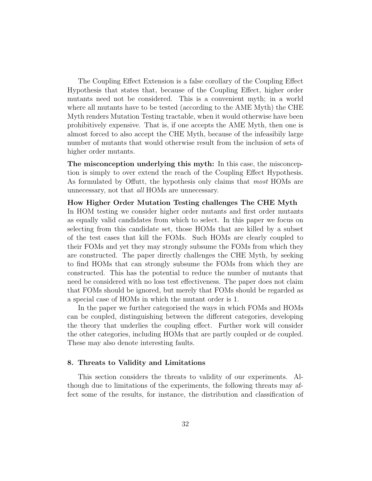The Coupling Effect Extension is a false corollary of the Coupling Effect Hypothesis that states that, because of the Coupling Effect, higher order mutants need not be considered. This is a convenient myth; in a world where all mutants have to be tested (according to the AME Myth) the CHE Myth renders Mutation Testing tractable, when it would otherwise have been prohibitively expensive. That is, if one accepts the AME Myth, then one is almost forced to also accept the CHE Myth, because of the infeasibily large number of mutants that would otherwise result from the inclusion of sets of higher order mutants.

The misconception underlying this myth: In this case, the misconception is simply to over extend the reach of the Coupling Effect Hypothesis. As formulated by Offutt, the hypothesis only claims that most HOMs are unnecessary, not that all HOMs are unnecessary.

How Higher Order Mutation Testing challenges The CHE Myth

In HOM testing we consider higher order mutants and first order mutants as equally valid candidates from which to select. In this paper we focus on selecting from this candidate set, those HOMs that are killed by a subset of the test cases that kill the FOMs. Such HOMs are clearly coupled to their FOMs and yet they may strongly subsume the FOMs from which they are constructed. The paper directly challenges the CHE Myth, by seeking to find HOMs that can strongly subsume the FOMs from which they are constructed. This has the potential to reduce the number of mutants that need be considered with no loss test effectiveness. The paper does not claim that FOMs should be ignored, but merely that FOMs should be regarded as a special case of HOMs in which the mutant order is 1.

In the paper we further categorised the ways in which FOMs and HOMs can be coupled, distinguishing between the different categories, developing the theory that underlies the coupling effect. Further work will consider the other categories, including HOMs that are partly coupled or de coupled. These may also denote interesting faults.

#### 8. Threats to Validity and Limitations

This section considers the threats to validity of our experiments. Although due to limitations of the experiments, the following threats may affect some of the results, for instance, the distribution and classification of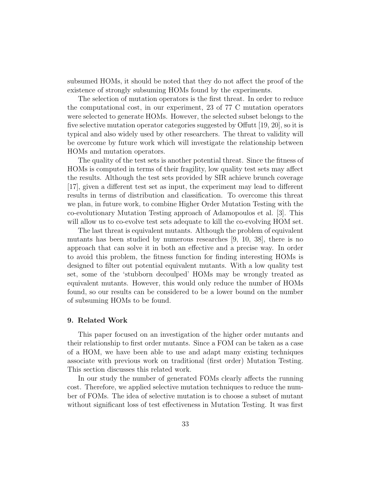subsumed HOMs, it should be noted that they do not affect the proof of the existence of strongly subsuming HOMs found by the experiments.

The selection of mutation operators is the first threat. In order to reduce the computational cost, in our experiment, 23 of 77 C mutation operators were selected to generate HOMs. However, the selected subset belongs to the five selective mutation operator categories suggested by Offutt [19, 20], so it is typical and also widely used by other researchers. The threat to validity will be overcome by future work which will investigate the relationship between HOMs and mutation operators.

The quality of the test sets is another potential threat. Since the fitness of HOMs is computed in terms of their fragility, low quality test sets may affect the results. Although the test sets provided by SIR achieve brunch coverage [17], given a different test set as input, the experiment may lead to different results in terms of distribution and classification. To overcome this threat we plan, in future work, to combine Higher Order Mutation Testing with the co-evolutionary Mutation Testing approach of Adamopoulos et al. [3]. This will allow us to co-evolve test sets adequate to kill the co-evolving HOM set.

The last threat is equivalent mutants. Although the problem of equivalent mutants has been studied by numerous researches [9, 10, 38], there is no approach that can solve it in both an effective and a precise way. In order to avoid this problem, the fitness function for finding interesting HOMs is designed to filter out potential equivalent mutants. With a low quality test set, some of the 'stubborn decoulped' HOMs may be wrongly treated as equivalent mutants. However, this would only reduce the number of HOMs found, so our results can be considered to be a lower bound on the number of subsuming HOMs to be found.

# 9. Related Work

This paper focused on an investigation of the higher order mutants and their relationship to first order mutants. Since a FOM can be taken as a case of a HOM, we have been able to use and adapt many existing techniques associate with previous work on traditional (first order) Mutation Testing. This section discusses this related work.

In our study the number of generated FOMs clearly affects the running cost. Therefore, we applied selective mutation techniques to reduce the number of FOMs. The idea of selective mutation is to choose a subset of mutant without significant loss of test effectiveness in Mutation Testing. It was first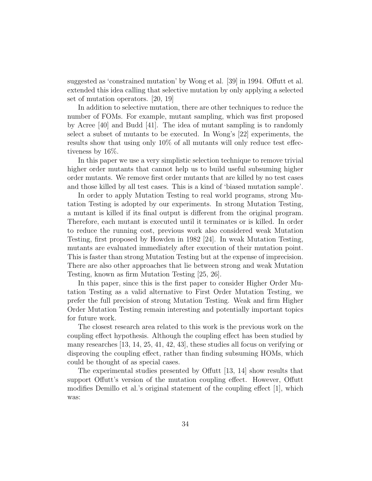suggested as 'constrained mutation' by Wong et al. [39] in 1994. Offutt et al. extended this idea calling that selective mutation by only applying a selected set of mutation operators. [20, 19]

In addition to selective mutation, there are other techniques to reduce the number of FOMs. For example, mutant sampling, which was first proposed by Acree [40] and Budd [41]. The idea of mutant sampling is to randomly select a subset of mutants to be executed. In Wong's [22] experiments, the results show that using only 10% of all mutants will only reduce test effectiveness by 16%.

In this paper we use a very simplistic selection technique to remove trivial higher order mutants that cannot help us to build useful subsuming higher order mutants. We remove first order mutants that are killed by no test cases and those killed by all test cases. This is a kind of 'biased mutation sample'.

In order to apply Mutation Testing to real world programs, strong Mutation Testing is adopted by our experiments. In strong Mutation Testing, a mutant is killed if its final output is different from the original program. Therefore, each mutant is executed until it terminates or is killed. In order to reduce the running cost, previous work also considered weak Mutation Testing, first proposed by Howden in 1982 [24]. In weak Mutation Testing, mutants are evaluated immediately after execution of their mutation point. This is faster than strong Mutation Testing but at the expense of imprecision. There are also other approaches that lie between strong and weak Mutation Testing, known as firm Mutation Testing [25, 26].

In this paper, since this is the first paper to consider Higher Order Mutation Testing as a valid alternative to First Order Mutation Testing, we prefer the full precision of strong Mutation Testing. Weak and firm Higher Order Mutation Testing remain interesting and potentially important topics for future work.

The closest research area related to this work is the previous work on the coupling effect hypothesis. Although the coupling effect has been studied by many researches [13, 14, 25, 41, 42, 43], these studies all focus on verifying or disproving the coupling effect, rather than finding subsuming HOMs, which could be thought of as special cases.

The experimental studies presented by Offutt [13, 14] show results that support Offutt's version of the mutation coupling effect. However, Offutt modifies Demillo et al.'s original statement of the coupling effect [1], which was: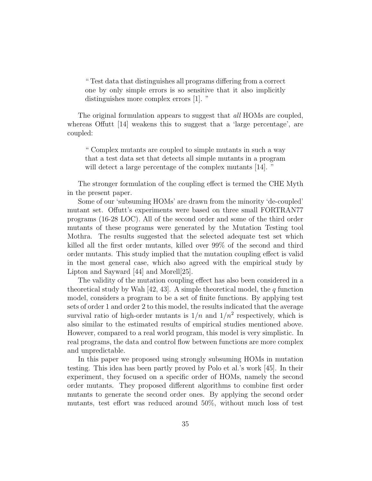" Test data that distinguishes all programs differing from a correct one by only simple errors is so sensitive that it also implicitly distinguishes more complex errors [1]. "

The original formulation appears to suggest that all HOMs are coupled, whereas Offutt [14] weakens this to suggest that a 'large percentage', are coupled:

" Complex mutants are coupled to simple mutants in such a way that a test data set that detects all simple mutants in a program will detect a large percentage of the complex mutants [14]. "

The stronger formulation of the coupling effect is termed the CHE Myth in the present paper.

Some of our 'subsuming HOMs' are drawn from the minority 'de-coupled' mutant set. Offutt's experiments were based on three small FORTRAN77 programs (16-28 LOC). All of the second order and some of the third order mutants of these programs were generated by the Mutation Testing tool Mothra. The results suggested that the selected adequate test set which killed all the first order mutants, killed over 99% of the second and third order mutants. This study implied that the mutation coupling effect is valid in the most general case, which also agreed with the empirical study by Lipton and Sayward [44] and Morell[25].

The validity of the mutation coupling effect has also been considered in a theoretical study by Wah [42, 43]. A simple theoretical model, the q function model, considers a program to be a set of finite functions. By applying test sets of order 1 and order 2 to this model, the results indicated that the average survival ratio of high-order mutants is  $1/n$  and  $1/n^2$  respectively, which is also similar to the estimated results of empirical studies mentioned above. However, compared to a real world program, this model is very simplistic. In real programs, the data and control flow between functions are more complex and unpredictable.

In this paper we proposed using strongly subsuming HOMs in mutation testing. This idea has been partly proved by Polo et al.'s work [45]. In their experiment, they focused on a specific order of HOMs, namely the second order mutants. They proposed different algorithms to combine first order mutants to generate the second order ones. By applying the second order mutants, test effort was reduced around 50%, without much loss of test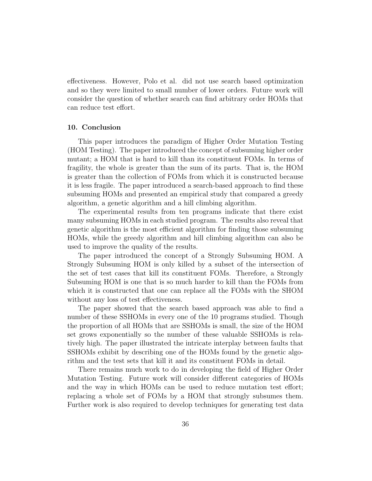effectiveness. However, Polo et al. did not use search based optimization and so they were limited to small number of lower orders. Future work will consider the question of whether search can find arbitrary order HOMs that can reduce test effort.

#### 10. Conclusion

This paper introduces the paradigm of Higher Order Mutation Testing (HOM Testing). The paper introduced the concept of subsuming higher order mutant; a HOM that is hard to kill than its constituent FOMs. In terms of fragility, the whole is greater than the sum of its parts. That is, the HOM is greater than the collection of FOMs from which it is constructed because it is less fragile. The paper introduced a search-based approach to find these subsuming HOMs and presented an empirical study that compared a greedy algorithm, a genetic algorithm and a hill climbing algorithm.

The experimental results from ten programs indicate that there exist many subsuming HOMs in each studied program. The results also reveal that genetic algorithm is the most efficient algorithm for finding those subsuming HOMs, while the greedy algorithm and hill climbing algorithm can also be used to improve the quality of the results.

The paper introduced the concept of a Strongly Subsuming HOM. A Strongly Subsuming HOM is only killed by a subset of the intersection of the set of test cases that kill its constituent FOMs. Therefore, a Strongly Subsuming HOM is one that is so much harder to kill than the FOMs from which it is constructed that one can replace all the FOMs with the SHOM without any loss of test effectiveness.

The paper showed that the search based approach was able to find a number of these SSHOMs in every one of the 10 programs studied. Though the proportion of all HOMs that are SSHOMs is small, the size of the HOM set grows exponentially so the number of these valuable SSHOMs is relatively high. The paper illustrated the intricate interplay between faults that SSHOMs exhibit by describing one of the HOMs found by the genetic algorithm and the test sets that kill it and its constituent FOMs in detail.

There remains much work to do in developing the field of Higher Order Mutation Testing. Future work will consider different categories of HOMs and the way in which HOMs can be used to reduce mutation test effort; replacing a whole set of FOMs by a HOM that strongly subsumes them. Further work is also required to develop techniques for generating test data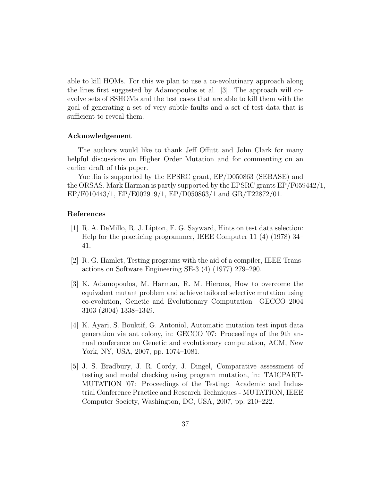able to kill HOMs. For this we plan to use a co-evolutinary approach along the lines first suggested by Adamopoulos et al. [3]. The approach will coevolve sets of SSHOMs and the test cases that are able to kill them with the goal of generating a set of very subtle faults and a set of test data that is sufficient to reveal them.

# Acknowledgement

The authors would like to thank Jeff Offutt and John Clark for many helpful discussions on Higher Order Mutation and for commenting on an earlier draft of this paper.

Yue Jia is supported by the EPSRC grant, EP/D050863 (SEBASE) and the ORSAS. Mark Harman is partly supported by the EPSRC grants EP/F059442/1, EP/F010443/1, EP/E002919/1, EP/D050863/1 and GR/T22872/01.

# References

- [1] R. A. DeMillo, R. J. Lipton, F. G. Sayward, Hints on test data selection: Help for the practicing programmer, IEEE Computer 11 (4) (1978) 34– 41.
- [2] R. G. Hamlet, Testing programs with the aid of a compiler, IEEE Transactions on Software Engineering SE-3 (4) (1977) 279–290.
- [3] K. Adamopoulos, M. Harman, R. M. Hierons, How to overcome the equivalent mutant problem and achieve tailored selective mutation using co-evolution, Genetic and Evolutionary Computation GECCO 2004 3103 (2004) 1338–1349.
- [4] K. Ayari, S. Bouktif, G. Antoniol, Automatic mutation test input data generation via ant colony, in: GECCO '07: Proceedings of the 9th annual conference on Genetic and evolutionary computation, ACM, New York, NY, USA, 2007, pp. 1074–1081.
- [5] J. S. Bradbury, J. R. Cordy, J. Dingel, Comparative assessment of testing and model checking using program mutation, in: TAICPART-MUTATION '07: Proceedings of the Testing: Academic and Industrial Conference Practice and Research Techniques - MUTATION, IEEE Computer Society, Washington, DC, USA, 2007, pp. 210–222.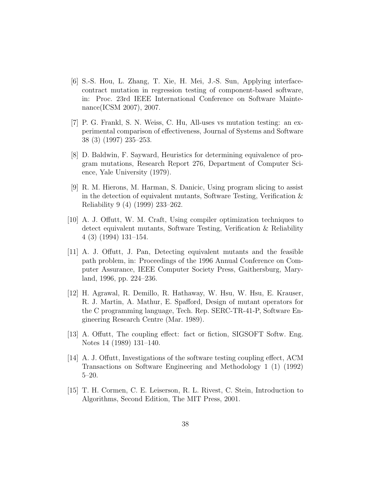- [6] S.-S. Hou, L. Zhang, T. Xie, H. Mei, J.-S. Sun, Applying interfacecontract mutation in regression testing of component-based software, in: Proc. 23rd IEEE International Conference on Software Maintenance(ICSM 2007), 2007.
- [7] P. G. Frankl, S. N. Weiss, C. Hu, All-uses vs mutation testing: an experimental comparison of effectiveness, Journal of Systems and Software 38 (3) (1997) 235–253.
- [8] D. Baldwin, F. Sayward, Heuristics for determining equivalence of program mutations, Research Report 276, Department of Computer Science, Yale University (1979).
- [9] R. M. Hierons, M. Harman, S. Danicic, Using program slicing to assist in the detection of equivalent mutants, Software Testing, Verification & Reliability 9 (4) (1999) 233–262.
- [10] A. J. Offutt, W. M. Craft, Using compiler optimization techniques to detect equivalent mutants, Software Testing, Verification & Reliability 4 (3) (1994) 131–154.
- [11] A. J. Offutt, J. Pan, Detecting equivalent mutants and the feasible path problem, in: Proceedings of the 1996 Annual Conference on Computer Assurance, IEEE Computer Society Press, Gaithersburg, Maryland, 1996, pp. 224–236.
- [12] H. Agrawal, R. Demillo, R. Hathaway, W. Hsu, W. Hsu, E. Krauser, R. J. Martin, A. Mathur, E. Spafford, Design of mutant operators for the C programming language, Tech. Rep. SERC-TR-41-P, Software Engineering Research Centre (Mar. 1989).
- [13] A. Offutt, The coupling effect: fact or fiction, SIGSOFT Softw. Eng. Notes 14 (1989) 131–140.
- [14] A. J. Offutt, Investigations of the software testing coupling effect, ACM Transactions on Software Engineering and Methodology 1 (1) (1992) 5–20.
- [15] T. H. Cormen, C. E. Leiserson, R. L. Rivest, C. Stein, Introduction to Algorithms, Second Edition, The MIT Press, 2001.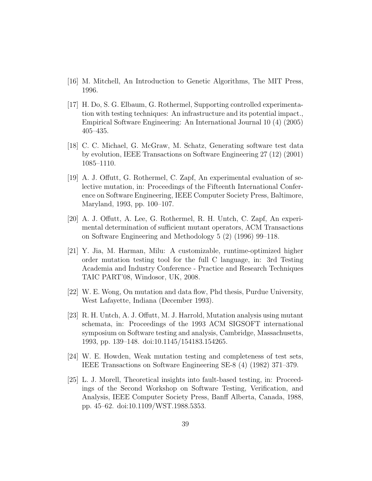- [16] M. Mitchell, An Introduction to Genetic Algorithms, The MIT Press, 1996.
- [17] H. Do, S. G. Elbaum, G. Rothermel, Supporting controlled experimentation with testing techniques: An infrastructure and its potential impact., Empirical Software Engineering: An International Journal 10 (4) (2005) 405–435.
- [18] C. C. Michael, G. McGraw, M. Schatz, Generating software test data by evolution, IEEE Transactions on Software Engineering 27 (12) (2001) 1085–1110.
- [19] A. J. Offutt, G. Rothermel, C. Zapf, An experimental evaluation of selective mutation, in: Proceedings of the Fifteenth International Conference on Software Engineering, IEEE Computer Society Press, Baltimore, Maryland, 1993, pp. 100–107.
- [20] A. J. Offutt, A. Lee, G. Rothermel, R. H. Untch, C. Zapf, An experimental determination of sufficient mutant operators, ACM Transactions on Software Engineering and Methodology 5 (2) (1996) 99–118.
- [21] Y. Jia, M. Harman, Milu: A customizable, runtime-optimized higher order mutation testing tool for the full C language, in: 3rd Testing Academia and Industry Conference - Practice and Research Techniques TAIC PART'08, Windosor, UK, 2008.
- [22] W. E. Wong, On mutation and data flow, Phd thesis, Purdue University, West Lafayette, Indiana (December 1993).
- [23] R. H. Untch, A. J. Offutt, M. J. Harrold, Mutation analysis using mutant schemata, in: Proceedings of the 1993 ACM SIGSOFT international symposium on Software testing and analysis, Cambridge, Massachusetts, 1993, pp. 139–148. doi:10.1145/154183.154265.
- [24] W. E. Howden, Weak mutation testing and completeness of test sets, IEEE Transactions on Software Engineering SE-8 (4) (1982) 371–379.
- [25] L. J. Morell, Theoretical insights into fault-based testing, in: Proceedings of the Second Workshop on Software Testing, Verification, and Analysis, IEEE Computer Society Press, Banff Alberta, Canada, 1988, pp. 45–62. doi:10.1109/WST.1988.5353.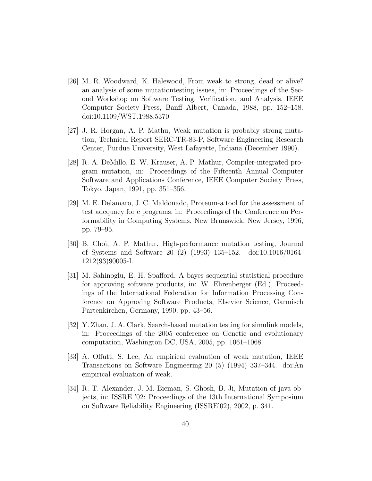- [26] M. R. Woodward, K. Halewood, From weak to strong, dead or alive? an analysis of some mutationtesting issues, in: Proceedings of the Second Workshop on Software Testing, Verification, and Analysis, IEEE Computer Society Press, Banff Albert, Canada, 1988, pp. 152–158. doi:10.1109/WST.1988.5370.
- [27] J. R. Horgan, A. P. Mathu, Weak mutation is probably strong mutation, Technical Report SERC-TR-83-P, Software Engineering Research Center, Purdue University, West Lafayette, Indiana (December 1990).
- [28] R. A. DeMillo, E. W. Krauser, A. P. Mathur, Compiler-integrated program mutation, in: Proceedings of the Fifteenth Annual Computer Software and Applications Conference, IEEE Computer Society Press, Tokyo, Japan, 1991, pp. 351–356.
- [29] M. E. Delamaro, J. C. Maldonado, Proteum-a tool for the assessment of test adequacy for c programs, in: Proceedings of the Conference on Performability in Computing Systems, New Brunswick, New Jersey, 1996, pp. 79–95.
- [30] B. Choi, A. P. Mathur, High-performance mutation testing, Journal of Systems and Software 20 (2) (1993) 135–152. doi:10.1016/0164- 1212(93)90005-I.
- [31] M. Sahinoglu, E. H. Spafford, A bayes sequential statistical procedure for approving software products, in: W. Ehrenberger (Ed.), Proceedings of the International Federation for Information Processing Conference on Approving Software Products, Elsevier Science, Garmisch Partenkirchen, Germany, 1990, pp. 43–56.
- [32] Y. Zhan, J. A. Clark, Search-based mutation testing for simulink models, in: Proceedings of the 2005 conference on Genetic and evolutionary computation, Washington DC, USA, 2005, pp. 1061–1068.
- [33] A. Offutt, S. Lee, An empirical evaluation of weak mutation, IEEE Transactions on Software Engineering 20 (5) (1994) 337–344. doi:An empirical evaluation of weak.
- [34] R. T. Alexander, J. M. Bieman, S. Ghosh, B. Ji, Mutation of java objects, in: ISSRE '02: Proceedings of the 13th International Symposium on Software Reliability Engineering (ISSRE'02), 2002, p. 341.